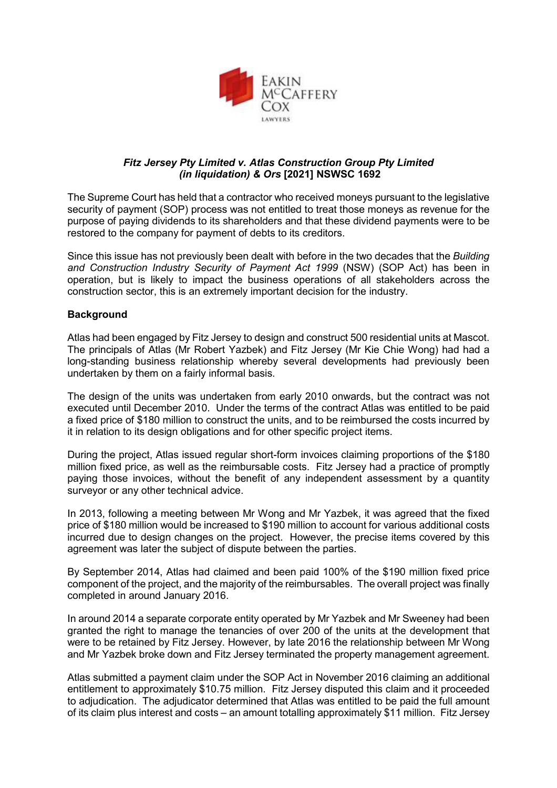

# *Fitz Jersey Pty Limited v. Atlas Construction Group Pty Limited (in liquidation) & Ors* **[2021] NSWSC 1692**

The Supreme Court has held that a contractor who received moneys pursuant to the legislative security of payment (SOP) process was not entitled to treat those moneys as revenue for the purpose of paying dividends to its shareholders and that these dividend payments were to be restored to the company for payment of debts to its creditors.

Since this issue has not previously been dealt with before in the two decades that the *Building and Construction Industry Security of Payment Act 1999* (NSW) (SOP Act) has been in operation, but is likely to impact the business operations of all stakeholders across the construction sector, this is an extremely important decision for the industry.

# **Background**

Atlas had been engaged by Fitz Jersey to design and construct 500 residential units at Mascot. The principals of Atlas (Mr Robert Yazbek) and Fitz Jersey (Mr Kie Chie Wong) had had a long-standing business relationship whereby several developments had previously been undertaken by them on a fairly informal basis.

The design of the units was undertaken from early 2010 onwards, but the contract was not executed until December 2010. Under the terms of the contract Atlas was entitled to be paid a fixed price of \$180 million to construct the units, and to be reimbursed the costs incurred by it in relation to its design obligations and for other specific project items.

During the project, Atlas issued regular short-form invoices claiming proportions of the \$180 million fixed price, as well as the reimbursable costs. Fitz Jersey had a practice of promptly paying those invoices, without the benefit of any independent assessment by a quantity surveyor or any other technical advice.

In 2013, following a meeting between Mr Wong and Mr Yazbek, it was agreed that the fixed price of \$180 million would be increased to \$190 million to account for various additional costs incurred due to design changes on the project. However, the precise items covered by this agreement was later the subject of dispute between the parties.

By September 2014, Atlas had claimed and been paid 100% of the \$190 million fixed price component of the project, and the majority of the reimbursables. The overall project was finally completed in around January 2016.

In around 2014 a separate corporate entity operated by Mr Yazbek and Mr Sweeney had been granted the right to manage the tenancies of over 200 of the units at the development that were to be retained by Fitz Jersey. However, by late 2016 the relationship between Mr Wong and Mr Yazbek broke down and Fitz Jersey terminated the property management agreement.

Atlas submitted a payment claim under the SOP Act in November 2016 claiming an additional entitlement to approximately \$10.75 million. Fitz Jersey disputed this claim and it proceeded to adjudication. The adjudicator determined that Atlas was entitled to be paid the full amount of its claim plus interest and costs – an amount totalling approximately \$11 million. Fitz Jersey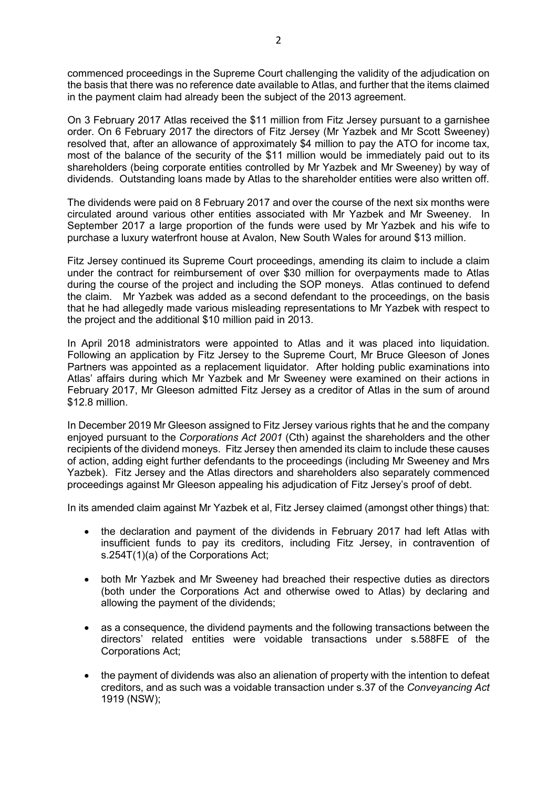commenced proceedings in the Supreme Court challenging the validity of the adjudication on the basis that there was no reference date available to Atlas, and further that the items claimed in the payment claim had already been the subject of the 2013 agreement.

On 3 February 2017 Atlas received the \$11 million from Fitz Jersey pursuant to a garnishee order. On 6 February 2017 the directors of Fitz Jersey (Mr Yazbek and Mr Scott Sweeney) resolved that, after an allowance of approximately \$4 million to pay the ATO for income tax, most of the balance of the security of the \$11 million would be immediately paid out to its shareholders (being corporate entities controlled by Mr Yazbek and Mr Sweeney) by way of dividends. Outstanding loans made by Atlas to the shareholder entities were also written off.

The dividends were paid on 8 February 2017 and over the course of the next six months were circulated around various other entities associated with Mr Yazbek and Mr Sweeney. In September 2017 a large proportion of the funds were used by Mr Yazbek and his wife to purchase a luxury waterfront house at Avalon, New South Wales for around \$13 million.

Fitz Jersey continued its Supreme Court proceedings, amending its claim to include a claim under the contract for reimbursement of over \$30 million for overpayments made to Atlas during the course of the project and including the SOP moneys. Atlas continued to defend the claim. Mr Yazbek was added as a second defendant to the proceedings, on the basis that he had allegedly made various misleading representations to Mr Yazbek with respect to the project and the additional \$10 million paid in 2013.

In April 2018 administrators were appointed to Atlas and it was placed into liquidation. Following an application by Fitz Jersey to the Supreme Court, Mr Bruce Gleeson of Jones Partners was appointed as a replacement liquidator. After holding public examinations into Atlas' affairs during which Mr Yazbek and Mr Sweeney were examined on their actions in February 2017, Mr Gleeson admitted Fitz Jersey as a creditor of Atlas in the sum of around \$12.8 million.

In December 2019 Mr Gleeson assigned to Fitz Jersey various rights that he and the company enjoyed pursuant to the *Corporations Act 2001* (Cth) against the shareholders and the other recipients of the dividend moneys. Fitz Jersey then amended its claim to include these causes of action, adding eight further defendants to the proceedings (including Mr Sweeney and Mrs Yazbek). Fitz Jersey and the Atlas directors and shareholders also separately commenced proceedings against Mr Gleeson appealing his adjudication of Fitz Jersey's proof of debt.

In its amended claim against Mr Yazbek et al, Fitz Jersey claimed (amongst other things) that:

- the declaration and payment of the dividends in February 2017 had left Atlas with insufficient funds to pay its creditors, including Fitz Jersey, in contravention of s.254T(1)(a) of the Corporations Act;
- both Mr Yazbek and Mr Sweeney had breached their respective duties as directors (both under the Corporations Act and otherwise owed to Atlas) by declaring and allowing the payment of the dividends;
- as a consequence, the dividend payments and the following transactions between the directors' related entities were voidable transactions under s.588FE of the Corporations Act;
- the payment of dividends was also an alienation of property with the intention to defeat creditors, and as such was a voidable transaction under s.37 of the *Conveyancing Act* 1919 (NSW);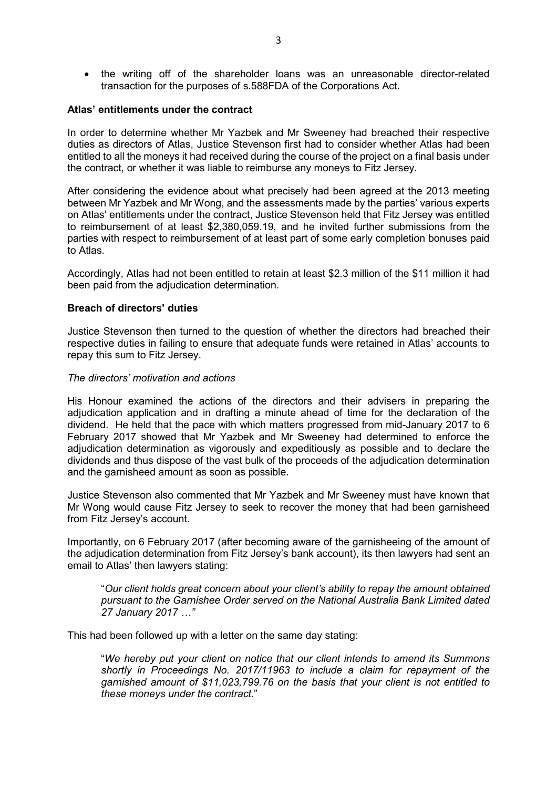• the writing off of the shareholder loans was an unreasonable director-related transaction for the purposes of s.588FDA of the Corporations Act.

## **Atlas' entitlements under the contract**

In order to determine whether Mr Yazbek and Mr Sweeney had breached their respective duties as directors of Atlas, Justice Stevenson first had to consider whether Atlas had been entitled to all the moneys it had received during the course of the project on a final basis under the contract, or whether it was liable to reimburse any moneys to Fitz Jersey.

After considering the evidence about what precisely had been agreed at the 2013 meeting between Mr Yazbek and Mr Wong, and the assessments made by the parties' various experts on Atlas' entitlements under the contract, Justice Stevenson held that Fitz Jersey was entitled to reimbursement of at least \$2,380,059.19, and he invited further submissions from the parties with respect to reimbursement of at least part of some early completion bonuses paid to Atlas.

Accordingly, Atlas had not been entitled to retain at least \$2.3 million of the \$11 million it had been paid from the adjudication determination.

#### **Breach of directors' duties**

Justice Stevenson then turned to the question of whether the directors had breached their respective duties in failing to ensure that adequate funds were retained in Atlas' accounts to repay this sum to Fitz Jersey.

#### *The directors' motivation and actions*

His Honour examined the actions of the directors and their advisers in preparing the adjudication application and in drafting a minute ahead of time for the declaration of the dividend. He held that the pace with which matters progressed from mid-January 2017 to 6 February 2017 showed that Mr Yazbek and Mr Sweeney had determined to enforce the adjudication determination as vigorously and expeditiously as possible and to declare the dividends and thus dispose of the vast bulk of the proceeds of the adjudication determination and the garnisheed amount as soon as possible.

Justice Stevenson also commented that Mr Yazbek and Mr Sweeney must have known that Mr Wong would cause Fitz Jersey to seek to recover the money that had been garnisheed from Fitz Jersey's account.

Importantly, on 6 February 2017 (after becoming aware of the garnisheeing of the amount of the adjudication determination from Fitz Jersey's bank account), its then lawyers had sent an email to Atlas' then lawyers stating:

"*Our client holds great concern about your client's ability to repay the amount obtained pursuant to the Garnishee Order served on the National Australia Bank Limited dated 27 January 2017 …"*

This had been followed up with a letter on the same day stating:

"*We hereby put your client on notice that our client intends to amend its Summons shortly in Proceedings No. 2017/11963 to include a claim for repayment of the garnished amount of \$11,023,799.76 on the basis that your client is not entitled to these moneys under the contract*."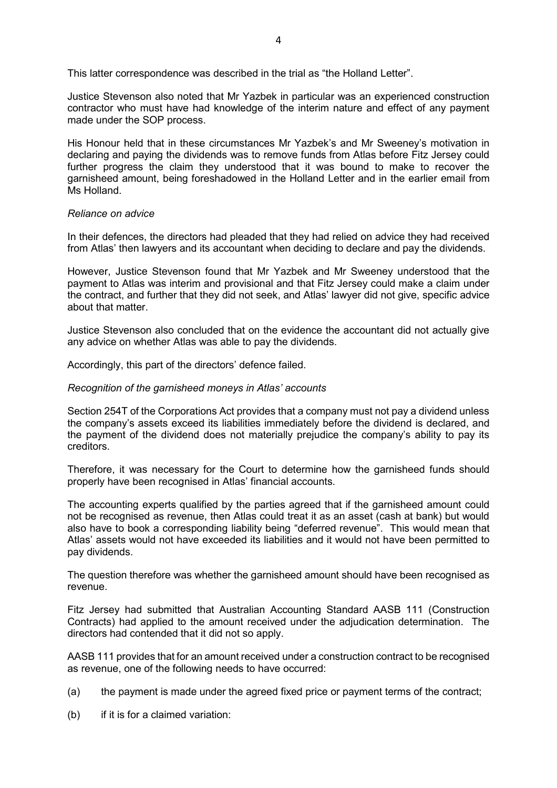This latter correspondence was described in the trial as "the Holland Letter".

Justice Stevenson also noted that Mr Yazbek in particular was an experienced construction contractor who must have had knowledge of the interim nature and effect of any payment made under the SOP process.

His Honour held that in these circumstances Mr Yazbek's and Mr Sweeney's motivation in declaring and paying the dividends was to remove funds from Atlas before Fitz Jersey could further progress the claim they understood that it was bound to make to recover the garnisheed amount, being foreshadowed in the Holland Letter and in the earlier email from Ms Holland.

#### *Reliance on advice*

In their defences, the directors had pleaded that they had relied on advice they had received from Atlas' then lawyers and its accountant when deciding to declare and pay the dividends.

However, Justice Stevenson found that Mr Yazbek and Mr Sweeney understood that the payment to Atlas was interim and provisional and that Fitz Jersey could make a claim under the contract, and further that they did not seek, and Atlas' lawyer did not give, specific advice about that matter.

Justice Stevenson also concluded that on the evidence the accountant did not actually give any advice on whether Atlas was able to pay the dividends.

Accordingly, this part of the directors' defence failed.

#### *Recognition of the garnisheed moneys in Atlas' accounts*

Section 254T of the Corporations Act provides that a company must not pay a dividend unless the company's assets exceed its liabilities immediately before the dividend is declared, and the payment of the dividend does not materially prejudice the company's ability to pay its creditors.

Therefore, it was necessary for the Court to determine how the garnisheed funds should properly have been recognised in Atlas' financial accounts.

The accounting experts qualified by the parties agreed that if the garnisheed amount could not be recognised as revenue, then Atlas could treat it as an asset (cash at bank) but would also have to book a corresponding liability being "deferred revenue". This would mean that Atlas' assets would not have exceeded its liabilities and it would not have been permitted to pay dividends.

The question therefore was whether the garnisheed amount should have been recognised as revenue.

Fitz Jersey had submitted that Australian Accounting Standard AASB 111 (Construction Contracts) had applied to the amount received under the adjudication determination. The directors had contended that it did not so apply.

AASB 111 provides that for an amount received under a construction contract to be recognised as revenue, one of the following needs to have occurred:

- (a) the payment is made under the agreed fixed price or payment terms of the contract;
- (b) if it is for a claimed variation: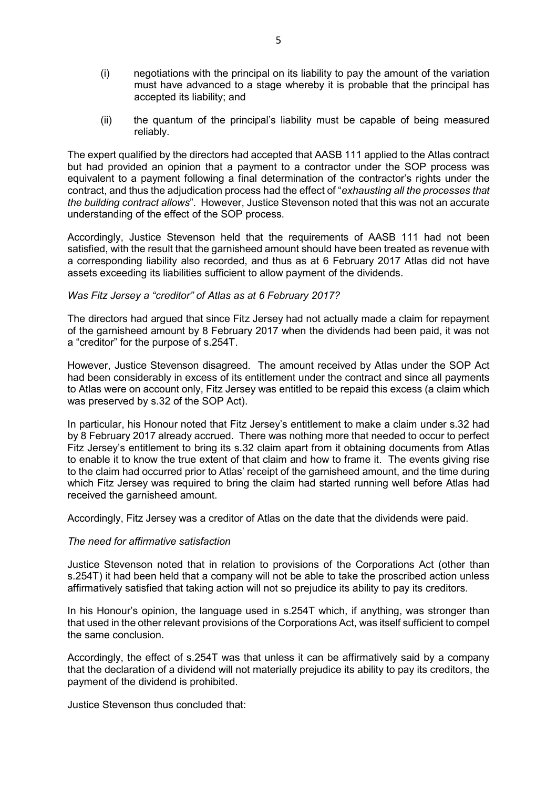- (i) negotiations with the principal on its liability to pay the amount of the variation must have advanced to a stage whereby it is probable that the principal has accepted its liability; and
- (ii) the quantum of the principal's liability must be capable of being measured reliably.

The expert qualified by the directors had accepted that AASB 111 applied to the Atlas contract but had provided an opinion that a payment to a contractor under the SOP process was equivalent to a payment following a final determination of the contractor's rights under the contract, and thus the adjudication process had the effect of "*exhausting all the processes that the building contract allows*". However, Justice Stevenson noted that this was not an accurate understanding of the effect of the SOP process.

Accordingly, Justice Stevenson held that the requirements of AASB 111 had not been satisfied, with the result that the garnisheed amount should have been treated as revenue with a corresponding liability also recorded, and thus as at 6 February 2017 Atlas did not have assets exceeding its liabilities sufficient to allow payment of the dividends.

## *Was Fitz Jersey a "creditor" of Atlas as at 6 February 2017?*

The directors had argued that since Fitz Jersey had not actually made a claim for repayment of the garnisheed amount by 8 February 2017 when the dividends had been paid, it was not a "creditor" for the purpose of s.254T.

However, Justice Stevenson disagreed. The amount received by Atlas under the SOP Act had been considerably in excess of its entitlement under the contract and since all payments to Atlas were on account only, Fitz Jersey was entitled to be repaid this excess (a claim which was preserved by s.32 of the SOP Act).

In particular, his Honour noted that Fitz Jersey's entitlement to make a claim under s.32 had by 8 February 2017 already accrued. There was nothing more that needed to occur to perfect Fitz Jersey's entitlement to bring its s.32 claim apart from it obtaining documents from Atlas to enable it to know the true extent of that claim and how to frame it. The events giving rise to the claim had occurred prior to Atlas' receipt of the garnisheed amount, and the time during which Fitz Jersey was required to bring the claim had started running well before Atlas had received the garnisheed amount.

Accordingly, Fitz Jersey was a creditor of Atlas on the date that the dividends were paid.

## *The need for affirmative satisfaction*

Justice Stevenson noted that in relation to provisions of the Corporations Act (other than s.254T) it had been held that a company will not be able to take the proscribed action unless affirmatively satisfied that taking action will not so prejudice its ability to pay its creditors.

In his Honour's opinion, the language used in s.254T which, if anything, was stronger than that used in the other relevant provisions of the Corporations Act, was itself sufficient to compel the same conclusion.

Accordingly, the effect of s.254T was that unless it can be affirmatively said by a company that the declaration of a dividend will not materially prejudice its ability to pay its creditors, the payment of the dividend is prohibited.

Justice Stevenson thus concluded that: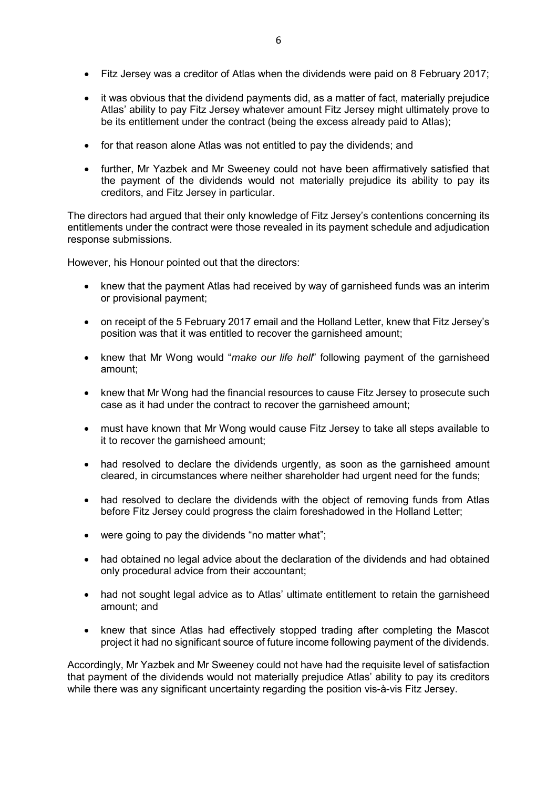- Fitz Jersey was a creditor of Atlas when the dividends were paid on 8 February 2017;
- it was obvious that the dividend payments did, as a matter of fact, materially prejudice Atlas' ability to pay Fitz Jersey whatever amount Fitz Jersey might ultimately prove to be its entitlement under the contract (being the excess already paid to Atlas);
- for that reason alone Atlas was not entitled to pay the dividends; and
- further, Mr Yazbek and Mr Sweeney could not have been affirmatively satisfied that the payment of the dividends would not materially prejudice its ability to pay its creditors, and Fitz Jersey in particular.

The directors had argued that their only knowledge of Fitz Jersey's contentions concerning its entitlements under the contract were those revealed in its payment schedule and adjudication response submissions.

However, his Honour pointed out that the directors:

- knew that the payment Atlas had received by way of garnisheed funds was an interim or provisional payment;
- on receipt of the 5 February 2017 email and the Holland Letter, knew that Fitz Jersey's position was that it was entitled to recover the garnisheed amount;
- knew that Mr Wong would "*make our life hell*" following payment of the garnisheed amount;
- knew that Mr Wong had the financial resources to cause Fitz Jersey to prosecute such case as it had under the contract to recover the garnisheed amount;
- must have known that Mr Wong would cause Fitz Jersey to take all steps available to it to recover the garnisheed amount;
- had resolved to declare the dividends urgently, as soon as the garnisheed amount cleared, in circumstances where neither shareholder had urgent need for the funds;
- had resolved to declare the dividends with the object of removing funds from Atlas before Fitz Jersey could progress the claim foreshadowed in the Holland Letter;
- were going to pay the dividends "no matter what";
- had obtained no legal advice about the declaration of the dividends and had obtained only procedural advice from their accountant;
- had not sought legal advice as to Atlas' ultimate entitlement to retain the garnisheed amount; and
- knew that since Atlas had effectively stopped trading after completing the Mascot project it had no significant source of future income following payment of the dividends.

Accordingly, Mr Yazbek and Mr Sweeney could not have had the requisite level of satisfaction that payment of the dividends would not materially prejudice Atlas' ability to pay its creditors while there was any significant uncertainty regarding the position vis-à-vis Fitz Jersey.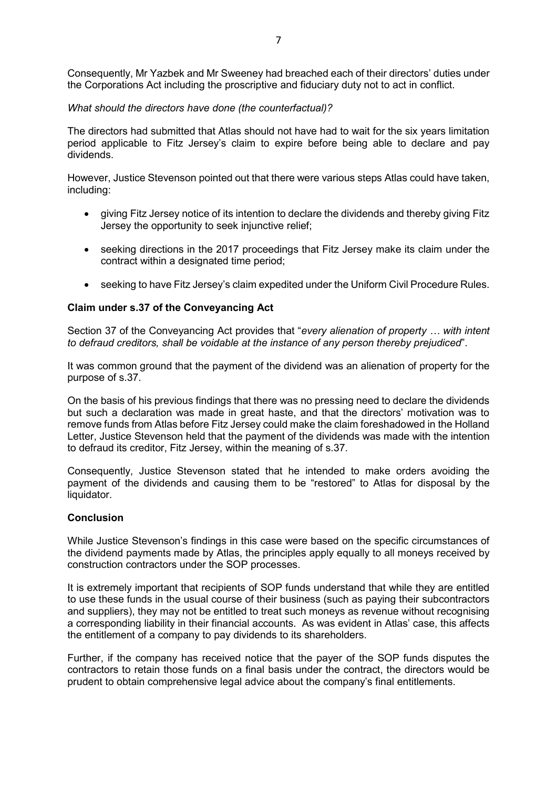Consequently, Mr Yazbek and Mr Sweeney had breached each of their directors' duties under the Corporations Act including the proscriptive and fiduciary duty not to act in conflict.

# *What should the directors have done (the counterfactual)?*

The directors had submitted that Atlas should not have had to wait for the six years limitation period applicable to Fitz Jersey's claim to expire before being able to declare and pay dividends.

However, Justice Stevenson pointed out that there were various steps Atlas could have taken, including:

- giving Fitz Jersey notice of its intention to declare the dividends and thereby giving Fitz Jersey the opportunity to seek injunctive relief;
- seeking directions in the 2017 proceedings that Fitz Jersey make its claim under the contract within a designated time period;
- seeking to have Fitz Jersey's claim expedited under the Uniform Civil Procedure Rules.

# **Claim under s.37 of the Conveyancing Act**

Section 37 of the Conveyancing Act provides that "*every alienation of property … with intent to defraud creditors, shall be voidable at the instance of any person thereby prejudiced*".

It was common ground that the payment of the dividend was an alienation of property for the purpose of s.37.

On the basis of his previous findings that there was no pressing need to declare the dividends but such a declaration was made in great haste, and that the directors' motivation was to remove funds from Atlas before Fitz Jersey could make the claim foreshadowed in the Holland Letter, Justice Stevenson held that the payment of the dividends was made with the intention to defraud its creditor, Fitz Jersey, within the meaning of s.37.

Consequently, Justice Stevenson stated that he intended to make orders avoiding the payment of the dividends and causing them to be "restored" to Atlas for disposal by the liquidator.

## **Conclusion**

While Justice Stevenson's findings in this case were based on the specific circumstances of the dividend payments made by Atlas, the principles apply equally to all moneys received by construction contractors under the SOP processes.

It is extremely important that recipients of SOP funds understand that while they are entitled to use these funds in the usual course of their business (such as paying their subcontractors and suppliers), they may not be entitled to treat such moneys as revenue without recognising a corresponding liability in their financial accounts. As was evident in Atlas' case, this affects the entitlement of a company to pay dividends to its shareholders.

Further, if the company has received notice that the payer of the SOP funds disputes the contractors to retain those funds on a final basis under the contract, the directors would be prudent to obtain comprehensive legal advice about the company's final entitlements.